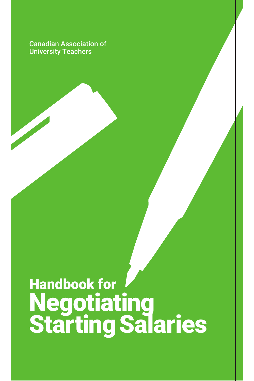Canadian Association of University Teachers

# Negotiating<br>Starting Salaries Handbook for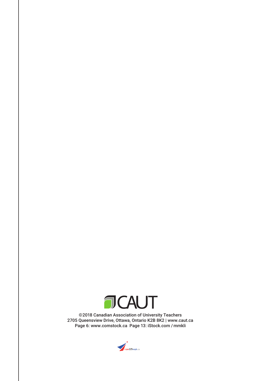

©2018 Canadian Association of University Teachers 2705 Queensview Drive, Ottawa, Ontario K2B 8K2 | www.caut.ca Page 6: www.comstock.ca Page 13: iStock.com / mmkli

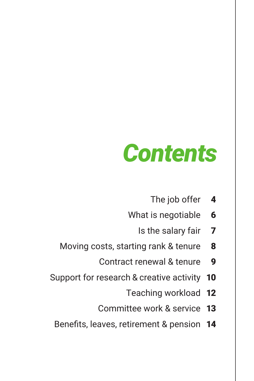## *Contents*

- The job offer 4
- What is negotiable  $\epsilon$ 
	- Is the salary fair 7
- Moving costs, starting rank & tenure 8
	- Contract renewal & tenure 9
- Support for research & creative activity 10
	- Teaching workload 12
	- Committee work & service 13
	- Benefits, leaves, retirement & pension 14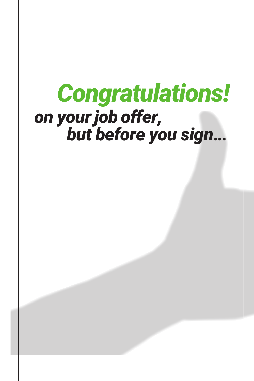## *Congratulations! on yourjob offer, but before you sign…*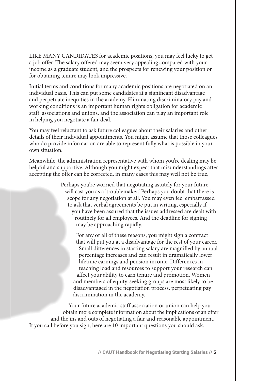LIKE MANY CANDIDATES for academic positions, you may feel lucky to get a job offer. The salary offered may seem very appealing compared with your income as a graduate student, and the prospects for renewing your position or for obtaining tenure may look impressive.

Initial terms and conditions for many academic positions are negotiated on an individual basis. This can put some candidates at a significant disadvantage and perpetuate inequities in the academy. Eliminating discriminatory pay and working conditions is an important human rights obligation for academic staff associations and unions, and the association can play an important role in helping you negotiate a fair deal.

You may feel reluctant to ask future colleagues about their salaries and other details of their individual appointments. you might assume that those colleagues who do provide information are able to represent fully what is possible in your own situation.

meanwhile, the administration representative with whom you're dealing may be helpful and supportive. Although you might expect that misunderstandings after accepting the offer can be corrected, in many cases this may well not be true.

> Perhaps you're worried that negotiating astutely for your future will cast you as a 'troublemaker.' Perhaps you doubt that there is scope for any negotiation at all. you may even feel embarrassed to ask that verbal agreements be put in writing, especially if you have been assured that the issues addressed are dealt with routinely for all employees. And the deadline for signing may be approaching rapidly.

For any or all of these reasons, you might sign a contract that will put you at a disadvantage for the rest of your career. small differences in starting salary are magnified by annual percentage increases and can result in dramatically lower lifetime earnings and pension income. Differences in teaching load and resources to support your research can affect your ability to earn tenure and promotion. Women and members of equity-seeking groups are most likely to be disadvantaged in the negotiation process, perpetuating pay discrimination in the academy.

Your future academic staff association or union can help you obtain more complete information about the implications of an offer and the ins and outs of negotiating a fair and reasonable appointment. If you call before you sign, here are 10 important questions you should ask.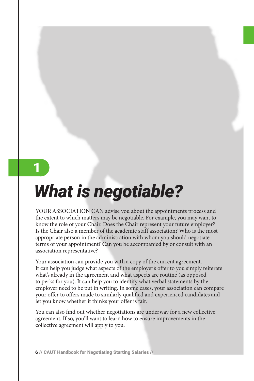1

## *What is negotiable?*

YOUR ASSOCIATION CAN advise you about the appointments process and the extent to which matters may be negotiable. For example, you may want to know the role of your Chair. Does the Chair represent your future employer? Is the Chair also a member of the academic staff association? Who is the most appropriate person in the administration with whom you should negotiate terms of your appointment? Can you be accompanied by or consult with an association representative?

Your association can provide you with a copy of the current agreement. It can help you judge what aspects of the employer's offer to you simply reiterate what's already in the agreement and what aspects are routine (as opposed to perks for you). it can help you to identify what verbal statements by the employer need to be put in writing. in some cases, your association can compare your offer to offers made to similarly qualified and experienced candidates and let you know whether it thinks your offer is fair.

You can also find out whether negotiations are underway for a new collective agreement. if so, you'll want to learn how to ensure improvements in the collective agreement will apply to you.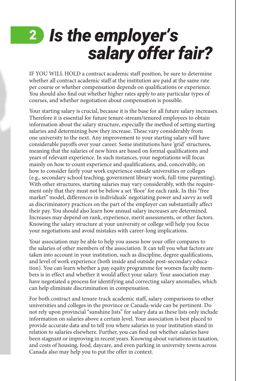#### *Is the employer's* 2*salary offer fair?*

IF YOU WILL HOLD a contract academic staff position, be sure to determine whether all contract academic staff at the institution are paid at the same rate per course or whether compensation depends on qualifications or experience. You should also find out whether higher rates apply to any particular types of courses, and whether negotiation about compensation is possible.

your starting salary is crucial, because it is the base for all future salary increases. Therefore it is essential for future tenure-stream/tenured employees to obtain information about the salary structure, especially the method of setting starting salaries and determining how they increase. These vary considerably from one university to the next. Any improvement to your starting salary will have considerable payoffs over your career. some institutions have 'grid' structures, meaning that the salaries of new hires are based on formal qualifications and years of relevant experience. in such instances, your negotiations will focus mainly on how to count experience and qualifications, and, conceivably, on how to consider fairly your work experience outside universities or colleges (e.g., secondary school teaching, government library work, full-time parenting). With other structures, starting salaries may vary considerably, with the requirement only that they must not be below a set 'floor' for each rank. in this "free market" model, differences in individuals' negotiating power and savvy as well as discriminatory practices on the part of the employer can substantially affect their pay. you should also learn how annual salary increases are determined. Increases may depend on rank, experience, merit assessments, or other factors. knowing the salary structure at your university or college will help you focus your negotiations and avoid mistakes with career-long implications.

Your association may be able to help you assess how your offer compares to the salaries of other members of the association. It can tell you what factors are taken into account in your institution, such as discipline, degree qualifications, and level of work experience (both inside and outside post-secondary education). You can learn whether a pay equity programme for women faculty members is in effect and whether it would affect your salary. Your association may have negotiated a process for identifying and correcting salary anomalies, which can help eliminate discrimination in compensation.

For both contract and tenure-track academic staff, salary comparisons to other universities and colleges in the province or Canada-wide can be pertinent. Do not rely upon provincial "sunshine lists" for salary data as these lists only include information on salaries above a certain level. your association is best placed to provide accurate data and to tell you where salaries in your institution stand in relation to salaries elsewhere. Further, you can find out whether salaries have been stagnant or improving in recent years. knowing about variations in taxation, and costs of housing, food, daycare, and even parking in university towns across canada also may help you to put the offer in context.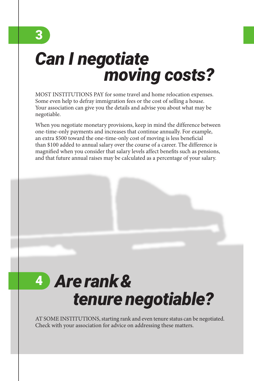

#### *Can I negotiate moving costs?*

most institutions Pay for some travel and home relocation expenses. some even help to defray immigration fees or the cost of selling a house. your association can give you the details and advise you about what may be negotiable.

When you negotiate monetary provisions, keep in mind the difference between one-time-only payments and increases that continue annually. For example, an extra \$500 toward the one-time-only cost of moving is less beneficial than \$100 added to annual salary over the course of a career. The difference is magnified when you consider that salary levels affect benefits such as pensions, and that future annual raises may be calculated as a percentage of your salary.

## 4 *Are rank& tenure negotiable?*

AT SOME INSTITUTIONS, starting rank and even tenure status can be negotiated. check with your association for advice on addressing these matters.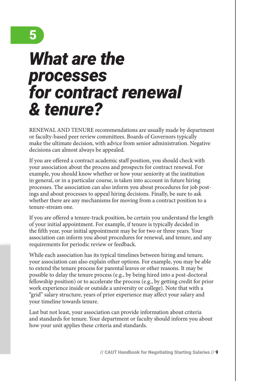#### *What are the processes for contract renewal & tenure?*

RENEWAL AND TENURE recommendations are usually made by department or faculty-based peer review committees. Boards of Governors typically make the ultimate decision, with advice from senior administration. Negative decisions can almost always be appealed.

if you are offered a contract academic staff position, you should check with your association about the process and prospects for contract renewal. For example, you should know whether or how your seniority at the institution in general, or in a particular course, is taken into account in future hiring processes. The association can also inform you about procedures for job postings and about processes to appeal hiring decisions. Finally, be sure to ask whether there are any mechanisms for moving from a contract position to a tenure-stream one.

If you are offered a tenure-track position, be certain you understand the length of your initial appointment. For example, if tenure is typically decided in the fifth year, your initial appointment may be for two or three years. your association can inform you about procedures for renewal, and tenure, and any requirements for periodic review or feedback.

While each association has its typical timelines between hiring and tenure, your association can also explain other options. For example, you may be able to extend the tenure process for parental leaves or other reasons. it may be possible to delay the tenure process (e.g., by being hired into a post-doctoral fellowship position) or to accelerate the process (e.g., by getting credit for prior work experience inside or outside a university or college). Note that with a "grid" salary structure, years of prior experience may affect your salary and your timeline towards tenure.

Last but not least, your association can provide information about criteria and standards for tenure. Your department or faculty should inform you about how your unit applies these criteria and standards.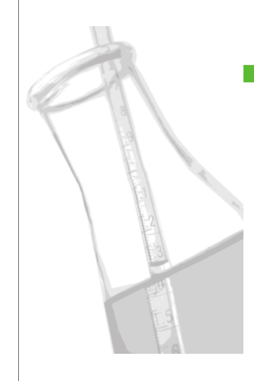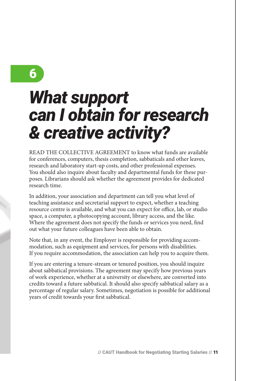6

#### *What support can I obtain for research & creative activity?*

READ THE COLLECTIVE AGREEMENT to know what funds are available for conferences, computers, thesis completion, sabbaticals and other leaves, research and laboratory start-up costs, and other professional expenses. You should also inquire about faculty and departmental funds for these purposes. Librarians should ask whether the agreement provides for dedicated research time.

In addition, your association and department can tell you what level of teaching assistance and secretarial support to expect, whether a teaching resource centre is available, and what you can expect for office, lab, or studio space, a computer, a photocopying account, library access, and the like. Where the agreement does not specify the funds or services you need, find out what your future colleagues have been able to obtain.

Note that, in any event, the Employer is responsible for providing accommodation, such as equipment and services, for persons with disabilities. If you require accommodation, the association can help you to acquire them.

if you are entering a tenure-stream or tenured position, you should inquire about sabbatical provisions. the agreement may specify how previous years of work experience, whether at a university or elsewhere, are converted into credits toward a future sabbatical. it should also specify sabbatical salary as a percentage of regular salary. sometimes, negotiation is possible for additional years of credit towards your first sabbatical.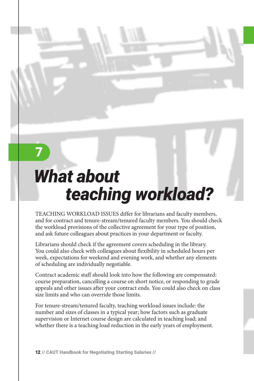## *What about teaching workload?*

7

TEACHING WORKLOAD ISSUES differ for librarians and faculty members, and for contract and tenure-stream/tenured faculty members. you should check the workload provisions of the collective agreement for your type of position, and ask future colleagues about practices in your department or faculty.

Librarians should check if the agreement covers scheduling in the library. you could also check with colleagues about flexibility in scheduled hours per week, expectations for weekend and evening work, and whether any elements of scheduling are individually negotiable.

contract academic staff should look into how the following are compensated: course preparation, cancelling a course on short notice, or responding to grade appeals and other issues after your contract ends. you could also check on class size limits and who can override those limits.

For tenure-stream/tenured faculty, teaching workload issues include: the number and sizes of classes in a typical year; how factors such as graduate supervision or Internet course design are calculated in teaching load; and whether there is a teaching load reduction in the early years of employment.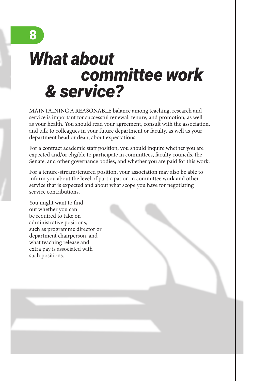#### *What about committee work & service?*

MAINTAINING A REASONABLE balance among teaching, research and service is important for successful renewal, tenure, and promotion, as well as your health. you should read your agreement, consult with the association, and talk to colleagues in your future department or faculty, as well as your department head or dean, about expectations.

For a contract academic staff position, you should inquire whether you are expected and/or eligible to participate in committees, faculty councils, the senate, and other governance bodies, and whether you are paid for this work.

For a tenure-stream/tenured position, your association may also be able to inform you about the level of participation in committee work and other service that is expected and about what scope you have for negotiating service contributions.

You might want to find out whether you can be required to take on administrative positions, such as programme director or department chairperson, and what teaching release and extra pay is associated with such positions.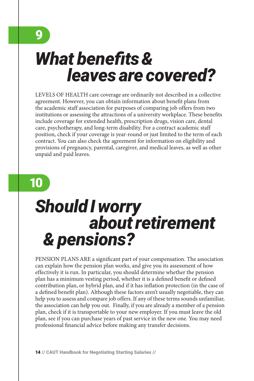

#### *What benefits& leaves are covered?*

LeVeLs oF heaLth care coverage are ordinarily not described in a collective agreement. however, you can obtain information about benefit plans from the academic staff association for purposes of comparing job offers from two institutions or assessing the attractions of a university workplace. These benefits include coverage for extended health, prescription drugs, vision care, dental care, psychotherapy, and long-term disability. For a contract academic staff position, check if your coverage is year-round or just limited to the term of each contract. you can also check the agreement for information on eligibility and provisions of pregnancy, parental, caregiver, and medical leaves, as well as other unpaid and paid leaves.



#### *ShouldIworry* about retirement *&pensions?*

PENSION PLANS ARE a significant part of your compensation. The association can explain how the pension plan works, and give you its assessment of how effectively it is run. in particular, you should determine whether the pension plan has a minimum vesting period, whether it is a defined benefit or defined contribution plan, or hybrid plan, and if it has inflation protection (in the case of a defined benefit plan). although these factors aren't usually negotiable, they can help you to assess and compare job offers. if any of these terms sounds unfamiliar, the association can help you out. Finally, if you are already a member of a pension plan, check if it is transportable to your new employer. if you must leave the old plan, see if you can purchase years of past service in the new one. You may need professional financial advice before making any transfer decisions.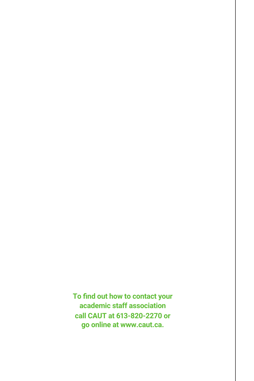**To find out how to contact your academic staff association call CAUT at 613-820-2270 or go online at www.caut.ca.**